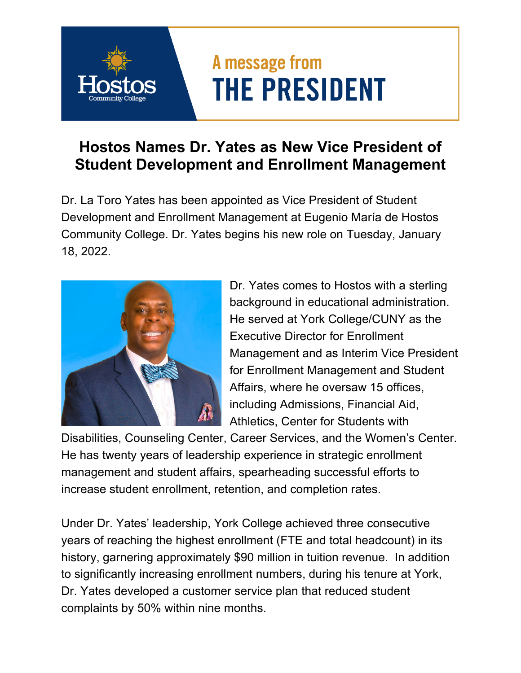## A message from **THE PRESIDENT**

## **Hostos Names Dr. Yates as New Vice President of Student Development and Enrollment Management**

Dr. La Toro Yates has been appointed as Vice President of Student Development and Enrollment Management at Eugenio María de Hostos Community College. Dr. Yates begins his new role on Tuesday, January 18, 2022.



Dr. Yates comes to Hostos with a sterling background in educational administration. He served at York College/CUNY as the Executive Director for Enrollment Management and as Interim Vice President for Enrollment Management and Student Affairs, where he oversaw 15 offices, including Admissions, Financial Aid, Athletics, Center for Students with

Disabilities, Counseling Center, Career Services, and the Women's Center. He has twenty years of leadership experience in strategic enrollment management and student affairs, spearheading successful efforts to increase student enrollment, retention, and completion rates.

Under Dr. Yates' leadership, York College achieved three consecutive years of reaching the highest enrollment (FTE and total headcount) in its history, garnering approximately \$90 million in tuition revenue. In addition to significantly increasing enrollment numbers, during his tenure at York, Dr. Yates developed a customer service plan that reduced student complaints by 50% within nine months.